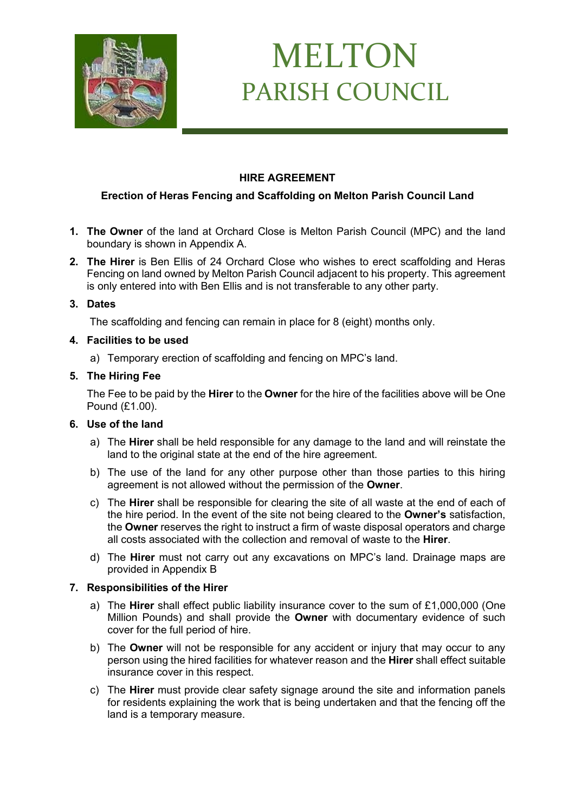

# MELTON PARISH COUNCIL

## **HIRE AGREEMENT**

## **Erection of Heras Fencing and Scaffolding on Melton Parish Council Land**

- **1. The Owner** of the land at Orchard Close is Melton Parish Council (MPC) and the land boundary is shown in Appendix A.
- **2. The Hirer** is Ben Ellis of 24 Orchard Close who wishes to erect scaffolding and Heras Fencing on land owned by Melton Parish Council adjacent to his property. This agreement is only entered into with Ben Ellis and is not transferable to any other party.

### **3. Dates**

The scaffolding and fencing can remain in place for 8 (eight) months only.

### **4. Facilities to be used**

a) Temporary erection of scaffolding and fencing on MPC's land.

### **5. The Hiring Fee**

The Fee to be paid by the **Hirer** to the **Owner** for the hire of the facilities above will be One Pound (£1.00).

#### **6. Use of the land**

- a) The **Hirer** shall be held responsible for any damage to the land and will reinstate the land to the original state at the end of the hire agreement.
- b) The use of the land for any other purpose other than those parties to this hiring agreement is not allowed without the permission of the **Owner**.
- c) The **Hirer** shall be responsible for clearing the site of all waste at the end of each of the hire period. In the event of the site not being cleared to the **Owner's** satisfaction, the **Owner** reserves the right to instruct a firm of waste disposal operators and charge all costs associated with the collection and removal of waste to the **Hirer**.
- d) The **Hirer** must not carry out any excavations on MPC's land. Drainage maps are provided in Appendix B

#### **7. Responsibilities of the Hirer**

- a) The **Hirer** shall effect public liability insurance cover to the sum of £1,000,000 (One Million Pounds) and shall provide the **Owner** with documentary evidence of such cover for the full period of hire.
- b) The **Owner** will not be responsible for any accident or injury that may occur to any person using the hired facilities for whatever reason and the **Hirer** shall effect suitable insurance cover in this respect.
- c) The **Hirer** must provide clear safety signage around the site and information panels for residents explaining the work that is being undertaken and that the fencing off the land is a temporary measure.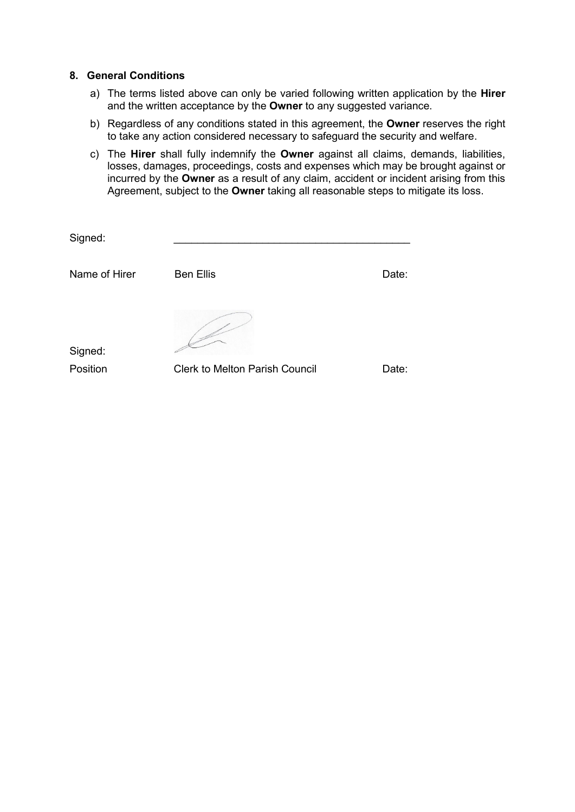#### **8. General Conditions**

- a) The terms listed above can only be varied following written application by the **Hirer** and the written acceptance by the **Owner** to any suggested variance.
- b) Regardless of any conditions stated in this agreement, the **Owner** reserves the right to take any action considered necessary to safeguard the security and welfare.
- c) The **Hirer** shall fully indemnify the **Owner** against all claims, demands, liabilities, losses, damages, proceedings, costs and expenses which may be brought against or incurred by the **Owner** as a result of any claim, accident or incident arising from this Agreement, subject to the **Owner** taking all reasonable steps to mitigate its loss.

| Signed:             |                                       |       |
|---------------------|---------------------------------------|-------|
| Name of Hirer       | <b>Ben Ellis</b>                      | Date: |
| Signed:<br>Position | <b>Clerk to Melton Parish Council</b> | Date: |
|                     |                                       |       |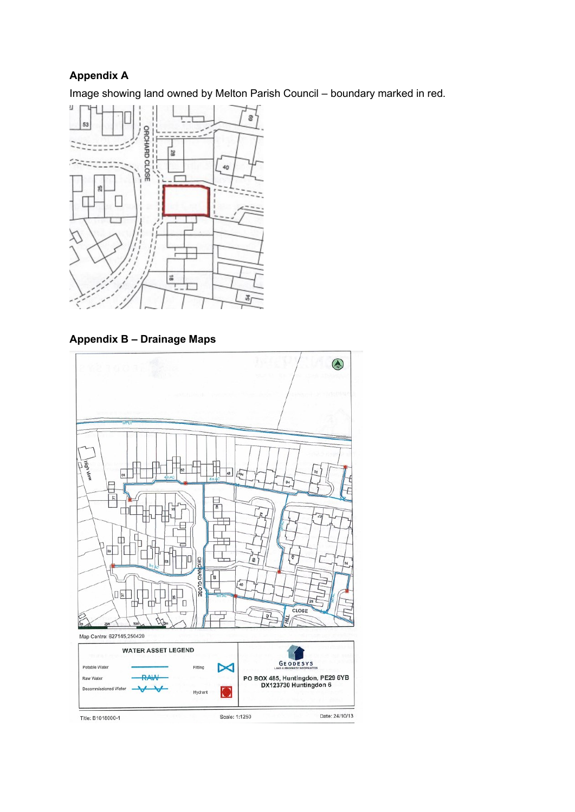## **Appendix A**

Image showing land owned by Melton Parish Council – boundary marked in red.



**Appendix B – Drainage Maps**